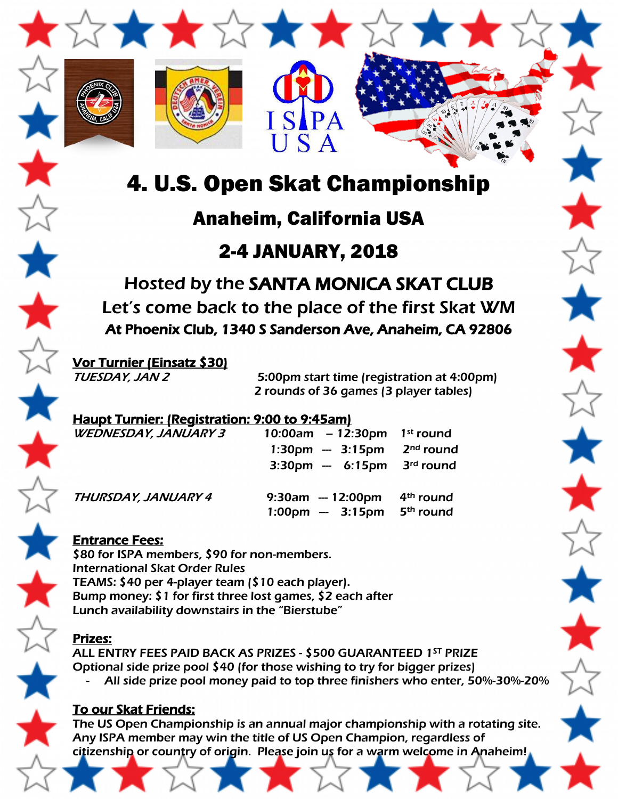

USA

**SIPA** 

# Anaheim, California USA

# 2-4 JANUARY, 2018

Hosted by the SANTA MONICA SKAT CLUB Let's come back to the place of the first Skat WM At Phoenix Club, 1340 S Sanderson Ave, Anaheim, CA 92806

Vor Turnier (Einsatz \$30)

TUESDAY, JAN 2 5:00pm start time (registration at 4:00pm) 2 rounds of 36 games (3 player tables)

#### Haupt Turnier: (Registration: 9:00 to 9:45am)

| <b>WEDNESDAY, JANUARY 3</b> | 10:00am $-12:30$ pm                                     | 1 <sup>st</sup> round                          |
|-----------------------------|---------------------------------------------------------|------------------------------------------------|
|                             | $1:30 \text{pm} - 3:15 \text{pm}$                       | $2nd$ round                                    |
|                             | $3:30 \text{pm} - 6:15 \text{pm}$                       | 3 <sup>rd</sup> round                          |
| THURSDAY, JANUARY 4         | $9:30am - 12:00pm$<br>$1:00 \text{pm} - 3:15 \text{pm}$ | 4 <sup>th</sup> round<br>5 <sup>th</sup> round |

### Entrance Fees:

\$80 for ISPA members, \$90 for non-members. International Skat Order Rules TEAMS: \$40 per 4-player team (\$10 each player). Bump money: \$1 for first three lost games, \$2 each after Lunch availability downstairs in the "Bierstube"

#### Prizes:

ALL ENTRY FEES PAID BACK AS PRIZES - \$500 GUARANTEED 1ST PRIZE Optional side prize pool \$40 (for those wishing to try for bigger prizes) All side prize pool money paid to top three finishers who enter, 50%-30%-20%

### To our Skat Friends:

The US Open Championship is an annual major championship with a rotating site. Any ISPA member may win the title of US Open Champion, regardless of citizenship or country of origin. Please join us for a warm welcome in Anaheim!